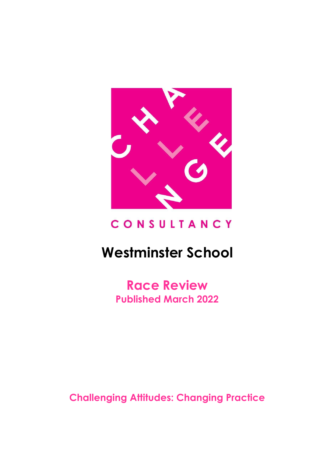

# CONSULTANCY

# **Westminster School**

**Race Review Published March 2022**

**Challenging Attitudes: Changing Practice**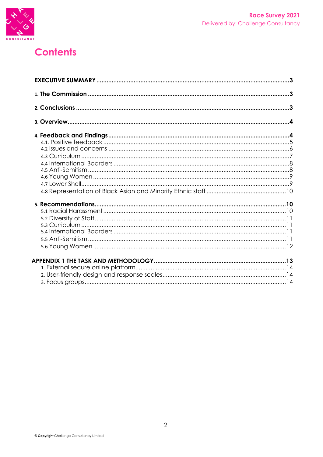

# **Contents**

| 3 |
|---|
|   |
|   |
|   |
|   |
|   |
|   |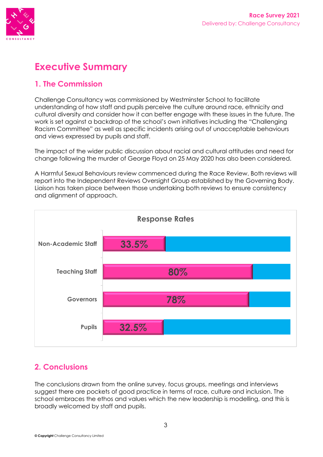

# **Executive Summary**

### **1. The Commission**

Challenge Consultancy was commissioned by Westminster School to facilitate understanding of how staff and pupils perceive the culture around race, ethnicity and cultural diversity and consider how it can better engage with these issues in the future. The work is set against a backdrop of the school's own initiatives including the "Challenging Racism Committee" as well as specific incidents arising out of unacceptable behaviours and views expressed by pupils and staff.

The impact of the wider public discussion about racial and cultural attitudes and need for change following the murder of George Floyd on 25 May 2020 has also been considered.

A Harmful Sexual Behaviours review commenced during the Race Review. Both reviews will report into the Independent Reviews Oversight Group established by the Governing Body. Liaison has taken place between those undertaking both reviews to ensure consistency and alignment of approach.



# **2. Conclusions**

The conclusions drawn from the online survey, focus groups, meetings and interviews suggest there are pockets of good practice in terms of race, culture and inclusion. The school embraces the ethos and values which the new leadership is modelling, and this is broadly welcomed by staff and pupils.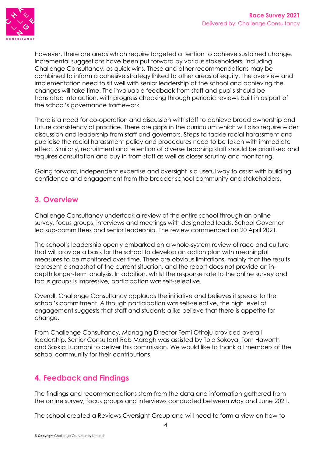

However, there are areas which require targeted attention to achieve sustained change. Incremental suggestions have been put forward by various stakeholders, including Challenge Consultancy, as quick wins. These and other recommendations may be combined to inform a cohesive strategy linked to other areas of equity. The overview and implementation need to sit well with senior leadership at the school and achieving the changes will take time. The invaluable feedback from staff and pupils should be translated into action, with progress checking through periodic reviews built in as part of the school's governance framework.

There is a need for co-operation and discussion with staff to achieve broad ownership and future consistency of practice. There are gaps in the curriculum which will also require wider discussion and leadership from staff and governors. Steps to tackle racial harassment and publicise the racial harassment policy and procedures need to be taken with immediate effect. Similarly, recruitment and retention of diverse teaching staff should be prioritised and requires consultation and buy in from staff as well as closer scrutiny and monitoring.

Going forward, independent expertise and oversight is a useful way to assist with building confidence and engagement from the broader school community and stakeholders.

### **3. Overview**

Challenge Consultancy undertook a review of the entire school through an online survey, focus groups, interviews and meetings with designated leads, School Governor led sub-committees and senior leadership. The review commenced on 20 April 2021.

The school's leadership openly embarked on a whole-system review of race and culture that will provide a basis for the school to develop an action plan with meaningful measures to be monitored over time. There are obvious limitations, mainly that the results represent a snapshot of the current situation, and the report does not provide an indepth longer-term analysis. In addition, whilst the response rate to the online survey and focus groups is impressive, participation was self-selective.

Overall, Challenge Consultancy applauds the initiative and believes it speaks to the school's commitment. Although participation was self-selective, the high level of engagement suggests that staff and students alike believe that there is appetite for change.

From Challenge Consultancy, Managing Director Femi Otitoju provided overall leadership. Senior Consultant Rob Maragh was assisted by Tola Sokoya, Tom Haworth and Saskia Luqmani to deliver this commission. We would like to thank all members of the school community for their contributions

## **4. Feedback and Findings**

The findings and recommendations stem from the data and information gathered from the online survey, focus groups and interviews conducted between May and June 2021.

The school created a Reviews Oversight Group and will need to form a view on how to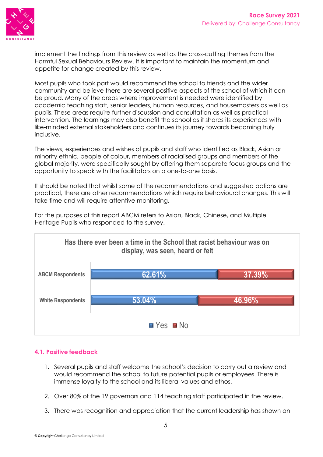

implement the findings from this review as well as the cross-cutting themes from the Harmful Sexual Behaviours Review. It is important to maintain the momentum and appetite for change created by this review.

Most pupils who took part would recommend the school to friends and the wider community and believe there are several positive aspects of the school of which it can be proud. Many of the areas where improvement is needed were identified by academic teaching staff, senior leaders, human resources, and housemasters as well as pupils. These areas require further discussion and consultation as well as practical intervention. The learnings may also benefit the school as it shares its experiences with like-minded external stakeholders and continues its journey towards becoming truly inclusive.

The views, experiences and wishes of pupils and staff who identified as Black, Asian or minority ethnic, people of colour, members of racialised groups and members of the global majority, were specifically sought by offering them separate focus groups and the opportunity to speak with the facilitators on a one-to-one basis.

It should be noted that whilst some of the recommendations and suggested actions are practical, there are other recommendations which require behavioural changes. This will take time and will require attentive monitoring.

For the purposes of this report ABCM refers to Asian, Black, Chinese, and Multiple Heritage Pupils who responded to the survey.



#### **4.1. Positive feedback**

- 1. Several pupils and staff welcome the school's decision to carry out a review and would recommend the school to future potential pupils or employees. There is immense loyalty to the school and its liberal values and ethos.
- 2. Over 80% of the 19 governors and 114 teaching staff participated in the review.
- 3. There was recognition and appreciation that the current leadership has shown an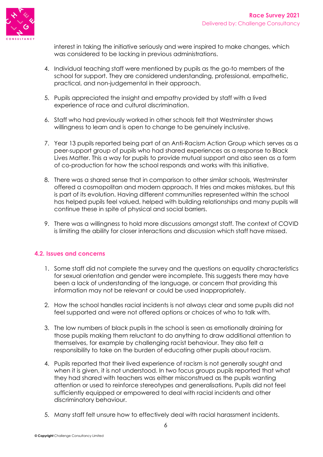

interest in taking the initiative seriously and were inspired to make changes, which was considered to be lacking in previous administrations.

- 4. Individual teaching staff were mentioned by pupils as the go-to members of the school for support. They are considered understanding, professional, empathetic, practical, and non-judgemental in their approach.
- 5. Pupils appreciated the insight and empathy provided by staff with a lived experience of race and cultural discrimination.
- 6. Staff who had previously worked in other schools felt that Westminster shows willingness to learn and is open to change to be genuinely inclusive.
- 7. Year 13 pupils reported being part of an Anti-Racism Action Group which serves as a peer-support group of pupils who had shared experiences as a response to Black Lives Matter. This a way for pupils to provide mutual support and also seen as a form of co-production for how the school responds and works with this initiative.
- 8. There was a shared sense that in comparison to other similar schools, Westminster offered a cosmopolitan and modern approach. It tries and makes mistakes, but this is part of its evolution. Having different communities represented within the school has helped pupils feel valued, helped with building relationships and many pupils will continue these in spite of physical and social barriers.
- 9. There was a willingness to hold more discussions amongst staff. The context of COVID is limiting the ability for closer interactions and discussion which staff have missed.

#### **4.2. Issues and concerns**

- 1. Some staff did not complete the survey and the questions on equality characteristics for sexual orientation and gender were incomplete. This suggests there may have been a lack of understanding of the language, or concern that providing this information may not be relevant or could be used inappropriately.
- 2. How the school handles racial incidents is not always clear and some pupils did not feel supported and were not offered options or choices of who to talk with.
- 3. The low numbers of black pupils in the school is seen as emotionally draining for those pupils making them reluctant to do anything to draw additional attention to themselves, for example by challenging racist behaviour. They also felt a responsibility to take on the burden of educating other pupils about racism.
- 4. Pupils reported that their lived experience of racism is not generally sought and when it is given, it is not understood. In two focus groups pupils reported that what they had shared with teachers was either misconstrued as the pupils wanting attention or used to reinforce stereotypes and generalisations. Pupils did not feel sufficiently equipped or empowered to deal with racial incidents and other discriminatory behaviour.
- 5. Many staff felt unsure how to effectively deal with racial harassment incidents.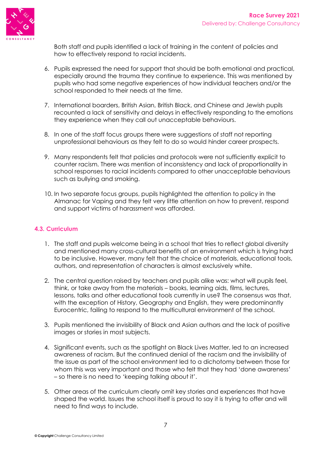

Both staff and pupils identified a lack of training in the content of policies and how to effectively respond to racial incidents.

- 6. Pupils expressed the need for support that should be both emotional and practical, especially around the trauma they continue to experience. This was mentioned by pupils who had some negative experiences of how individual teachers and/or the school responded to their needs at the time.
- 7. International boarders, British Asian, British Black, and Chinese and Jewish pupils recounted a lack of sensitivity and delays in effectively responding to the emotions they experience when they call out unacceptable behaviours.
- 8. In one of the staff focus groups there were suggestions of staff not reporting unprofessional behaviours as they felt to do so would hinder career prospects.
- 9. Many respondents felt that policies and protocols were not sufficiently explicit to counter racism. There was mention of inconsistency and lack of proportionality in school responses to racial incidents compared to other unacceptable behaviours such as bullying and smoking.
- 10. In two separate focus groups, pupils highlighted the attention to policy in the Almanac for Vaping and they felt very little attention on how to prevent, respond and support victims of harassment was afforded.

#### **4.3. Curriculum**

- 1. The staff and pupils welcome being in a school that tries to reflect global diversity and mentioned many cross-cultural benefits of an environment which is trying hard to be inclusive. However, many felt that the choice of materials, educational tools, authors, and representation of characters is almost exclusively white.
- 2. The central question raised by teachers and pupils alike was: what will pupils feel, think, or take away from the materials – books, learning aids, films, lectures, lessons, talks and other educational tools currently in use? The consensus was that, with the exception of History, Geography and English, they were predominantly Eurocentric, failing to respond to the multicultural environment of the school.
- 3. Pupils mentioned the invisibility of Black and Asian authors and the lack of positive images or stories in most subjects.
- 4. Significant events, such as the spotlight on Black Lives Matter, led to an increased awareness of racism. But the continued denial of the racism and the invisibility of the issue as part of the school environment led to a dichotomy between those for whom this was very important and those who felt that they had 'done awareness' – so there is no need to 'keeping talking about it'.
- 5. Other areas of the curriculum clearly omit key stories and experiences that have shaped the world. Issues the school itself is proud to say it is trying to offer and will need to find ways to include.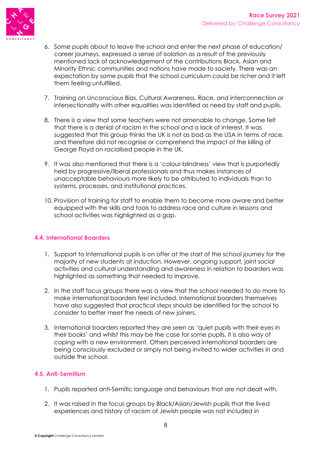

- 6. Some pupils about to leave the school and enter the next phase of education/ career journeys, expressed a sense of isolation as a result of the previously mentioned lack of acknowledgement of the contributions Black, Asian and Minority Ethnic communities and nations have made to society. There was an expectation by some pupils that the school curriculum could be richer and it left them feeling unfulfilled.
- 7. Training on Unconscious Bias, Cultural Awareness, Race, and interconnection or intersectionality with other equalities was identified as need by staff and pupils.
- 8. There is a view that some teachers were not amenable to change. Some felt that there is a denial of racism in the school and a lack of interest. It was suggested that this group thinks the UK is not as bad as the USA in terms of race, and therefore did not recognise or comprehend the impact of the killing of George Floyd on racialised people in the UK.
- 9. It was also mentioned that there is a 'colour-blindness' view that is purportedly held by progressive/liberal professionals and thus makes instances of unacceptable behaviours more likely to be attributed to individuals than to systems, processes, and institutional practices.
- 10. Provision of training for staff to enable them to become more aware and better equipped with the skills and tools to address race and culture in lessons and school activities was highlighted as a gap.

#### **4.4. International Boarders**

- 1. Support to International pupils is on offer at the start of the school journey for the majority of new students at induction. However, ongoing support, joint social activities and cultural understanding and awareness in relation to boarders was highlighted as something that needed to improve.
- 2. In the staff focus groups there was a view that the school needed to do more to make international boarders feel included. International boarders themselves have also suggested that practical steps should be identified for the school to consider to better meet the needs of new joiners.
- 3. International boarders reported they are seen as 'quiet pupils with their eyes in their books' and whilst this may be the case for some pupils, it is also way of coping with a new environment. Others perceived international boarders are being consciously excluded or simply not being invited to wider activities in and outside the school.

#### **4.5. Anti-Semitism**

- 1. Pupils reported anti-Semitic language and behaviours that are not dealt with.
- 2. It was raised in the focus groups by Black/Asian/Jewish pupils that the lived experiences and history of racism of Jewish people was not included in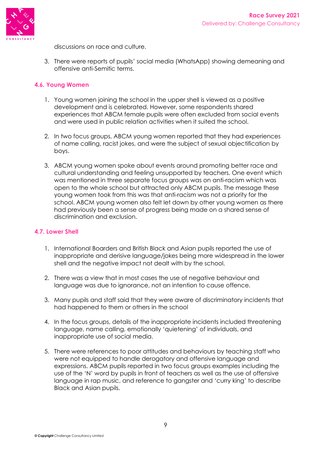

discussions on race and culture.

3. There were reports of pupils' social media (WhatsApp) showing demeaning and offensive anti-Semitic terms.

#### **4.6. Young Women**

- 1. Young women joining the school in the upper shell is viewed as a positive development and is celebrated. However, some respondents shared experiences that ABCM female pupils were often excluded from social events and were used in public relation activities when it suited the school.
- 2. In two focus groups, ABCM young women reported that they had experiences of name calling, racist jokes, and were the subject of sexual objectification by boys.
- 3. ABCM young women spoke about events around promoting better race and cultural understanding and feeling unsupported by teachers. One event which was mentioned in three separate focus groups was on anti-racism which was open to the whole school but attracted only ABCM pupils. The message these young women took from this was that anti-racism was not a priority for the school. ABCM young women also felt let down by other young women as there had previously been a sense of progress being made on a shared sense of discrimination and exclusion.

#### **4.7. Lower Shell**

- 1. International Boarders and British Black and Asian pupils reported the use of inappropriate and derisive language/jokes being more widespread in the lower shell and the negative impact not dealt with by the school.
- 2. There was a view that in most cases the use of negative behaviour and language was due to ignorance, not an intention to cause offence.
- 3. Many pupils and staff said that they were aware of discriminatory incidents that had happened to them or others in the school
- 4. In the focus groups, details of the inappropriate incidents included threatening language, name calling, emotionally 'quietening' of individuals, and inappropriate use of social media.
- 5. There were references to poor attitudes and behaviours by teaching staff who were not equipped to handle derogatory and offensive language and expressions. ABCM pupils reported in two focus groups examples including the use of the 'N' word by pupils in front of teachers as well as the use of offensive language in rap music, and reference to gangster and 'curry king' to describe Black and Asian pupils.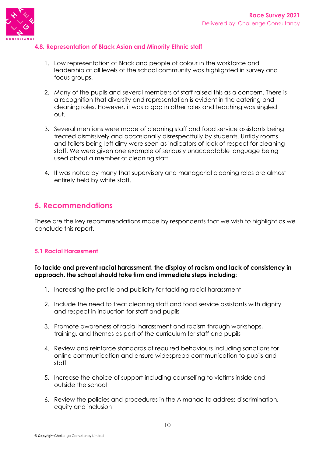

#### **4.8. Representation of Black Asian and Minority Ethnic staff**

- 1. Low representation of Black and people of colour in the workforce and leadership at all levels of the school community was highlighted in survey and focus groups.
- 2. Many of the pupils and several members of staff raised this as a concern. There is a recognition that diversity and representation is evident in the catering and cleaning roles. However, it was a gap in other roles and teaching was singled out.
- 3. Several mentions were made of cleaning staff and food service assistants being treated dismissively and occasionally disrespectfully by students. Untidy rooms and toilets being left dirty were seen as indicators of lack of respect for cleaning staff. We were given one example of seriously unacceptable language being used about a member of cleaning staff.
- 4. It was noted by many that supervisory and managerial cleaning roles are almost entirely held by white staff.

### **5. Recommendations**

These are the key recommendations made by respondents that we wish to highlight as we conclude this report.

#### **5.1 Racial Harassment**

#### **To tackle and prevent racial harassment, the display of racism and lack of consistency in approach, the school should take firm and immediate steps including:**

- 1. Increasing the profile and publicity for tackling racial harassment
- 2. Include the need to treat cleaning staff and food service assistants with dignity and respect in induction for staff and pupils
- 3. Promote awareness of racial harassment and racism through workshops, training, and themes as part of the curriculum for staff and pupils
- 4. Review and reinforce standards of required behaviours including sanctions for online communication and ensure widespread communication to pupils and staff
- 5. Increase the choice of support including counselling to victims inside and outside the school
- 6. Review the policies and procedures in the Almanac to address discrimination, equity and inclusion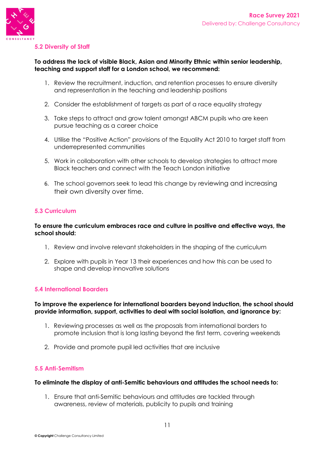

#### **5.2 Diversity of Staff**

#### **To address the lack of visible Black, Asian and Minority Ethnic within senior leadership, teaching and support staff for a London school, we recommend:**

- 1. Review the recruitment, induction, and retention processes to ensure diversity and representation in the teaching and leadership positions
- 2. Consider the establishment of targets as part of a race equality strategy
- 3. Take steps to attract and grow talent amongst ABCM pupils who are keen pursue teaching as a career choice
- 4. Utilise the "Positive Action" provisions of the Equality Act 2010 to target staff from underrepresented communities
- 5. Work in collaboration with other schools to develop strategies to attract more Black teachers and connect with the Teach London initiative
- 6. The school governors seek to lead this change by reviewing and increasing their own diversity over time.

#### **5.3 Curriculum**

#### **To ensure the curriculum embraces race and culture in positive and effective ways, the school should:**

- 1. Review and involve relevant stakeholders in the shaping of the curriculum
- 2. Explore with pupils in Year 13 their experiences and how this can be used to shape and develop innovative solutions

#### **5.4 International Boarders**

#### **To improve the experience for international boarders beyond induction, the school should provide information, support, activities to deal with social isolation, and ignorance by:**

- 1. Reviewing processes as well as the proposals from international borders to promote inclusion that is long lasting beyond the first term, covering weekends
- 2. Provide and promote pupil led activities that are inclusive

#### **5.5 Anti-Semitism**

#### **To eliminate the display of anti-Semitic behaviours and attitudes the school needs to:**

1. Ensure that anti-Semitic behaviours and attitudes are tackled through awareness, review of materials, publicity to pupils and training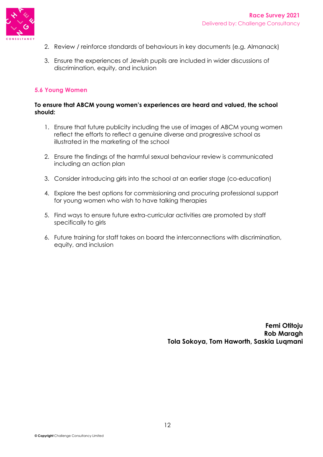

- 2. Review / reinforce standards of behaviours in key documents (e.g. Almanack)
- 3. Ensure the experiences of Jewish pupils are included in wider discussions of discrimination, equity, and inclusion

#### **5.6 Young Women**

#### **To ensure that ABCM young women's experiences are heard and valued, the school should:**

- 1. Ensure that future publicity including the use of images of ABCM young women reflect the efforts to reflect a genuine diverse and progressive school as illustrated in the marketing of the school
- 2. Ensure the findings of the harmful sexual behaviour review is communicated including an action plan
- 3. Consider introducing girls into the school at an earlier stage (co-education)
- 4. Explore the best options for commissioning and procuring professional support for young women who wish to have talking therapies
- 5. Find ways to ensure future extra-curricular activities are promoted by staff specifically to girls
- 6. Future training for staff takes on board the interconnections with discrimination, equity, and inclusion

**Femi Otitoju Rob Maragh Tola Sokoya, Tom Haworth, Saskia Luqmani**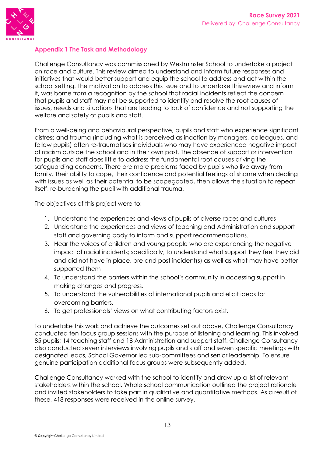

#### **Appendix 1 The Task and Methodology**

Challenge Consultancy was commissioned by Westminster School to undertake a project on race and culture. This review aimed to understand and inform future responses and initiatives that would better support and equip the school to address and act within the school setting. The motivation to address this issue and to undertake thisreview and inform it, was borne from a recognition by the school that racial incidents reflect the concern that pupils and staff may not be supported to identify and resolve the root causes of issues, needs and situations that are leading to lack of confidence and not supporting the welfare and safety of pupils and staff.

From a well-being and behavioural perspective, pupils and staff who experience significant distress and trauma (including what is perceived as inaction by managers, colleagues, and fellow pupils) often re-traumatises individuals who may have experienced negative impact of racism outside the school and in their own past. The absence of support or intervention for pupils and staff does little to address the fundamental root causes driving the safeguarding concerns. There are more problems faced by pupils who live away from family. Their ability to cope, their confidence and potential feelings of shame when dealing with issues as well as their potential to be scapegoated, then allows the situation to repeat itself, re-burdening the pupil with additional trauma.

The objectives of this project were to:

- 1. Understand the experiences and views of pupils of diverse races and cultures
- 2. Understand the experiences and views of teaching and Administration and support staff and governing body to inform and support recommendations.
- 3. Hear the voices of children and young people who are experiencing the negative impact of racial incidents; specifically, to understand what support they feel they did and did not have in place, pre and post incident(s) as well as what may have better supported them
- 4. To understand the barriers within the school's community in accessing support in making changes and progress.
- 5. To understand the vulnerabilities of international pupils and elicit ideas for overcoming barriers.
- 6. To get professionals' views on what contributing factors exist.

To undertake this work and achieve the outcomes set out above, Challenge Consultancy conducted ten focus group sessions with the purpose of listening and learning. This involved 85 pupils; 14 teaching staff and 18 Administration and support staff. Challenge Consultancy also conducted seven interviews involving pupils and staff and seven specific meetings with designated leads, School Governor led sub-committees and senior leadership. To ensure genuine participation additional focus groups were subsequently added.

Challenge Consultancy worked with the school to identify and draw up a list of relevant stakeholders within the school. Whole school communication outlined the project rationale and invited stakeholders to take part in qualitative and quantitative methods. As a result of these, 418 responses were received in the online survey.